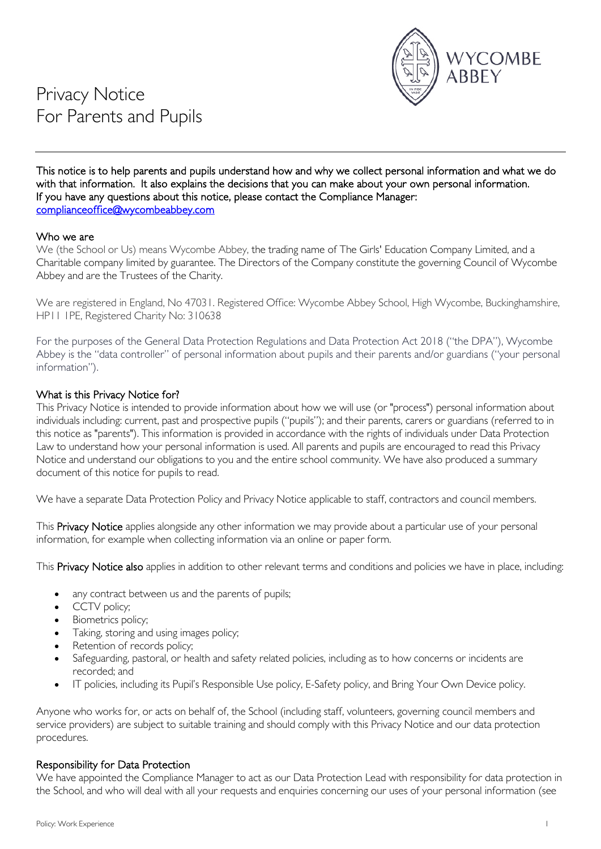

# Privacy Notice For Parents and Pupils

This notice is to help parents and pupils understand how and why we collect personal information and what we do with that information. It also explains the decisions that you can make about your own personal information. If you have any questions about this notice, please contact the Compliance Manager: [complianceoffice@wycombeabbey.com](mailto:complianceoffice@wycombeabbey.com) 

#### Who we are

We (the School or Us) means Wycombe Abbey, the trading name of The Girls' Education Company Limited, and a Charitable company limited by guarantee. The Directors of the Company constitute the governing Council of Wycombe Abbey and are the Trustees of the Charity.

We are registered in England, No 47031. Registered Office: Wycombe Abbey School, High Wycombe, Buckinghamshire, HP11 1PE, Registered Charity No: 310638

For the purposes of the General Data Protection Regulations and Data Protection Act 2018 ("the DPA"), Wycombe Abbey is the "data controller" of personal information about pupils and their parents and/or guardians ("your personal information").

#### What is this Privacy Notice for?

This Privacy Notice is intended to provide information about how we will use (or "process") personal information about individuals including: current, past and prospective pupils ("pupils"); and their parents, carers or guardians (referred to in this notice as "parents"). This information is provided in accordance with the rights of individuals under Data Protection Law to understand how your personal information is used. All parents and pupils are encouraged to read this Privacy Notice and understand our obligations to you and the entire school community. We have also produced a summary document of this notice for pupils to read.

We have a separate Data Protection Policy and Privacy Notice applicable to staff, contractors and council members.

This **Privacy Notice** applies alongside any other information we may provide about a particular use of your personal information, for example when collecting information via an online or paper form.

This Privacy Notice also applies in addition to other relevant terms and conditions and policies we have in place, including:

- any contract between us and the parents of pupils;
- CCTV policy;
- Biometrics policy;
- Taking, storing and using images policy;
- Retention of records policy;
- Safeguarding, pastoral, or health and safety related policies, including as to how concerns or incidents are recorded; and
- IT policies, including its Pupil's Responsible Use policy, E-Safety policy, and Bring Your Own Device policy.

Anyone who works for, or acts on behalf of, the School (including staff, volunteers, governing council members and service providers) are subject to suitable training and should comply with this Privacy Notice and our data protection procedures.

#### Responsibility for Data Protection

We have appointed the Compliance Manager to act as our Data Protection Lead with responsibility for data protection in the School, and who will deal with all your requests and enquiries concerning our uses of your personal information (see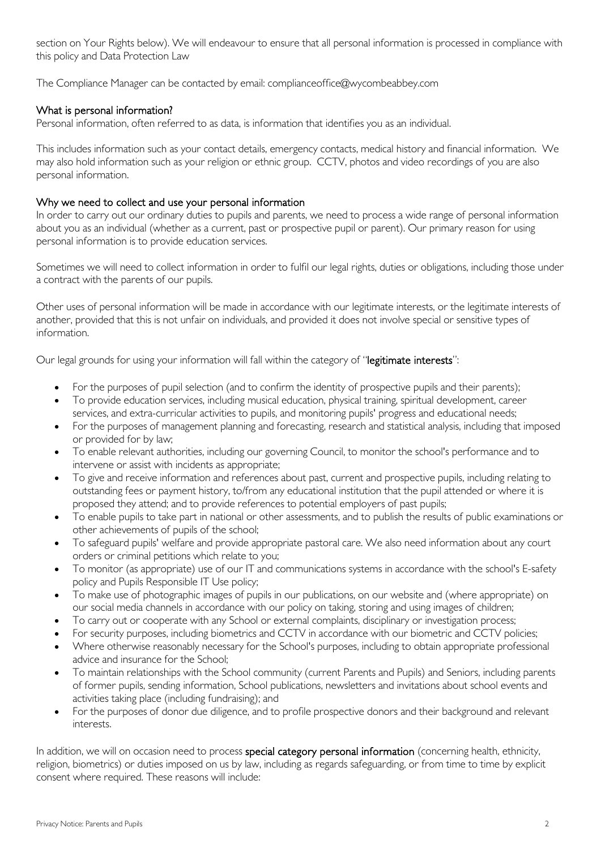section on Your Rights below). We will endeavour to ensure that all personal information is processed in compliance with this policy and Data Protection Law

The Compliance Manager can be contacted by email: complianceoffice@wycombeabbey.com

# What is personal information?

Personal information, often referred to as data, is information that identifies you as an individual.

This includes information such as your contact details, emergency contacts, medical history and financial information. We may also hold information such as your religion or ethnic group. CCTV, photos and video recordings of you are also personal information.

# Why we need to collect and use your personal information

In order to carry out our ordinary duties to pupils and parents, we need to process a wide range of personal information about you as an individual (whether as a current, past or prospective pupil or parent). Our primary reason for using personal information is to provide education services.

Sometimes we will need to collect information in order to fulfil our legal rights, duties or obligations, including those under a contract with the parents of our pupils.

Other uses of personal information will be made in accordance with our legitimate interests, or the legitimate interests of another, provided that this is not unfair on individuals, and provided it does not involve special or sensitive types of information.

Our legal grounds for using your information will fall within the category of "legitimate interests":

- For the purposes of pupil selection (and to confirm the identity of prospective pupils and their parents);
- To provide education services, including musical education, physical training, spiritual development, career services, and extra-curricular activities to pupils, and monitoring pupils' progress and educational needs;
- For the purposes of management planning and forecasting, research and statistical analysis, including that imposed or provided for by law;
- To enable relevant authorities, including our governing Council, to monitor the school's performance and to intervene or assist with incidents as appropriate;
- To give and receive information and references about past, current and prospective pupils, including relating to outstanding fees or payment history, to/from any educational institution that the pupil attended or where it is proposed they attend; and to provide references to potential employers of past pupils;
- To enable pupils to take part in national or other assessments, and to publish the results of public examinations or other achievements of pupils of the school;
- To safeguard pupils' welfare and provide appropriate pastoral care. We also need information about any court orders or criminal petitions which relate to you;
- To monitor (as appropriate) use of our IT and communications systems in accordance with the school's E-safety policy and Pupils Responsible IT Use policy;
- To make use of photographic images of pupils in our publications, on our website and (where appropriate) on our social media channels in accordance with our policy on taking, storing and using images of children;
- To carry out or cooperate with any School or external complaints, disciplinary or investigation process;
- For security purposes, including biometrics and CCTV in accordance with our biometric and CCTV policies;
- Where otherwise reasonably necessary for the School's purposes, including to obtain appropriate professional advice and insurance for the School;
- To maintain relationships with the School community (current Parents and Pupils) and Seniors, including parents of former pupils, sending information, School publications, newsletters and invitations about school events and activities taking place (including fundraising); and
- For the purposes of donor due diligence, and to profile prospective donors and their background and relevant interests.

In addition, we will on occasion need to process special category personal information (concerning health, ethnicity, religion, biometrics) or duties imposed on us by law, including as regards safeguarding, or from time to time by explicit consent where required. These reasons will include: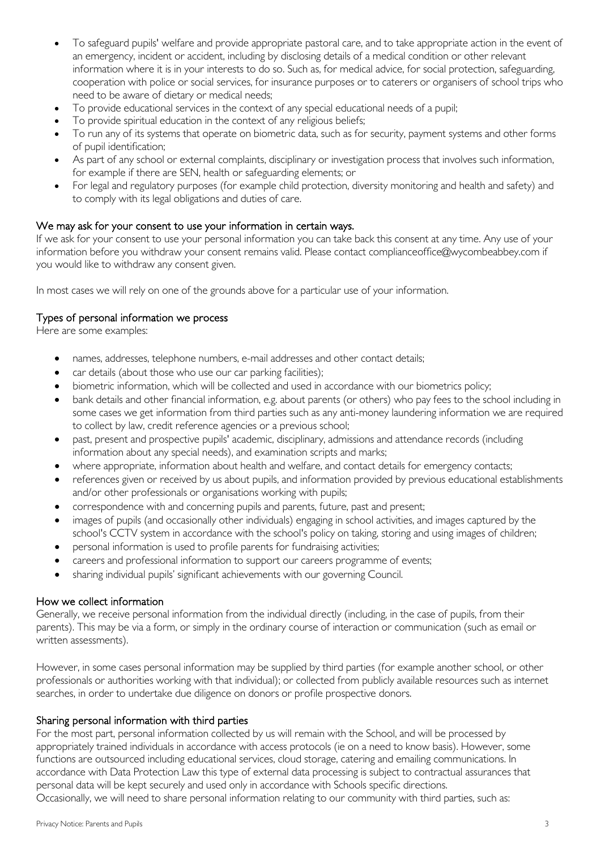- To safeguard pupils' welfare and provide appropriate pastoral care, and to take appropriate action in the event of an emergency, incident or accident, including by disclosing details of a medical condition or other relevant information where it is in your interests to do so. Such as, for medical advice, for social protection, safeguarding, cooperation with police or social services, for insurance purposes or to caterers or organisers of school trips who need to be aware of dietary or medical needs;
- To provide educational services in the context of any special educational needs of a pupil;
- To provide spiritual education in the context of any religious beliefs;
- To run any of its systems that operate on biometric data, such as for security, payment systems and other forms of pupil identification;
- As part of any school or external complaints, disciplinary or investigation process that involves such information, for example if there are SEN, health or safeguarding elements; or
- For legal and regulatory purposes (for example child protection, diversity monitoring and health and safety) and to comply with its legal obligations and duties of care.

# We may ask for your consent to use your information in certain ways.

If we ask for your consent to use your personal information you can take back this consent at any time. Any use of your information before you withdraw your consent remains valid. Please contact complianceoffice@wycombeabbey.com if you would like to withdraw any consent given.

In most cases we will rely on one of the grounds above for a particular use of your information.

### Types of personal information we process

Here are some examples:

- names, addresses, telephone numbers, e-mail addresses and other contact details;
- car details (about those who use our car parking facilities);
- biometric information, which will be collected and used in accordance with our biometrics policy;
- bank details and other financial information, e.g. about parents (or others) who pay fees to the school including in some cases we get information from third parties such as any anti-money laundering information we are required to collect by law, credit reference agencies or a previous school;
- past, present and prospective pupils' academic, disciplinary, admissions and attendance records (including information about any special needs), and examination scripts and marks;
- where appropriate, information about health and welfare, and contact details for emergency contacts;
- references given or received by us about pupils, and information provided by previous educational establishments and/or other professionals or organisations working with pupils;
- correspondence with and concerning pupils and parents, future, past and present;
- images of pupils (and occasionally other individuals) engaging in school activities, and images captured by the school's CCTV system in accordance with the school's policy on taking, storing and using images of children;
- personal information is used to profile parents for fundraising activities;
- careers and professional information to support our careers programme of events;
- sharing individual pupils' significant achievements with our governing Council.

#### How we collect information

Generally, we receive personal information from the individual directly (including, in the case of pupils, from their parents). This may be via a form, or simply in the ordinary course of interaction or communication (such as email or written assessments).

However, in some cases personal information may be supplied by third parties (for example another school, or other professionals or authorities working with that individual); or collected from publicly available resources such as internet searches, in order to undertake due diligence on donors or profile prospective donors.

#### Sharing personal information with third parties

For the most part, personal information collected by us will remain with the School, and will be processed by appropriately trained individuals in accordance with access protocols (ie on a need to know basis). However, some functions are outsourced including educational services, cloud storage, catering and emailing communications. In accordance with Data Protection Law this type of external data processing is subject to contractual assurances that personal data will be kept securely and used only in accordance with Schools specific directions. Occasionally, we will need to share personal information relating to our community with third parties, such as: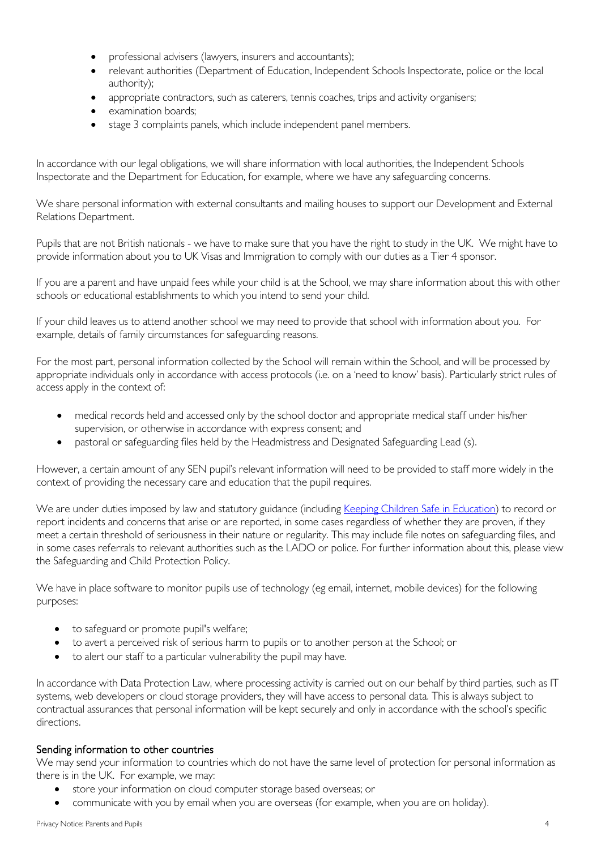- professional advisers (lawyers, insurers and accountants);
- relevant authorities (Department of Education, Independent Schools Inspectorate, police or the local authority);
- appropriate contractors, such as caterers, tennis coaches, trips and activity organisers;
- examination boards;
- stage 3 complaints panels, which include independent panel members.

In accordance with our legal obligations, we will share information with local authorities, the Independent Schools Inspectorate and the Department for Education, for example, where we have any safeguarding concerns.

We share personal information with external consultants and mailing houses to support our Development and External Relations Department.

Pupils that are not British nationals - we have to make sure that you have the right to study in the UK. We might have to provide information about you to UK Visas and Immigration to comply with our duties as a Tier 4 sponsor.

If you are a parent and have unpaid fees while your child is at the School, we may share information about this with other schools or educational establishments to which you intend to send your child.

If your child leaves us to attend another school we may need to provide that school with information about you. For example, details of family circumstances for safeguarding reasons.

For the most part, personal information collected by the School will remain within the School, and will be processed by appropriate individuals only in accordance with access protocols (i.e. on a 'need to know' basis). Particularly strict rules of access apply in the context of:

- medical records held and accessed only by the school doctor and appropriate medical staff under his/her supervision, or otherwise in accordance with express consent; and
- pastoral or safeguarding files held by the Headmistress and Designated Safeguarding Lead (s).

However, a certain amount of any SEN pupil's relevant information will need to be provided to staff more widely in the context of providing the necessary care and education that the pupil requires.

We are under duties imposed by law and statutory guidance (including [Keeping Children Safe in Education\)](https://www.gov.uk/government/publications/keeping-children-safe-in-education--2) to record or report incidents and concerns that arise or are reported, in some cases regardless of whether they are proven, if they meet a certain threshold of seriousness in their nature or regularity. This may include file notes on safeguarding files, and in some cases referrals to relevant authorities such as the LADO or police. For further information about this, please view the Safeguarding and Child Protection Policy.

We have in place software to monitor pupils use of technology (eg email, internet, mobile devices) for the following purposes:

- to safeguard or promote pupil's welfare;
- to avert a perceived risk of serious harm to pupils or to another person at the School; or
- to alert our staff to a particular vulnerability the pupil may have.

In accordance with Data Protection Law, where processing activity is carried out on our behalf by third parties, such as IT systems, web developers or cloud storage providers, they will have access to personal data. This is always subject to contractual assurances that personal information will be kept securely and only in accordance with the school's specific directions.

#### Sending information to other countries

We may send your information to countries which do not have the same level of protection for personal information as there is in the UK. For example, we may:

- store your information on cloud computer storage based overseas; or
- communicate with you by email when you are overseas (for example, when you are on holiday).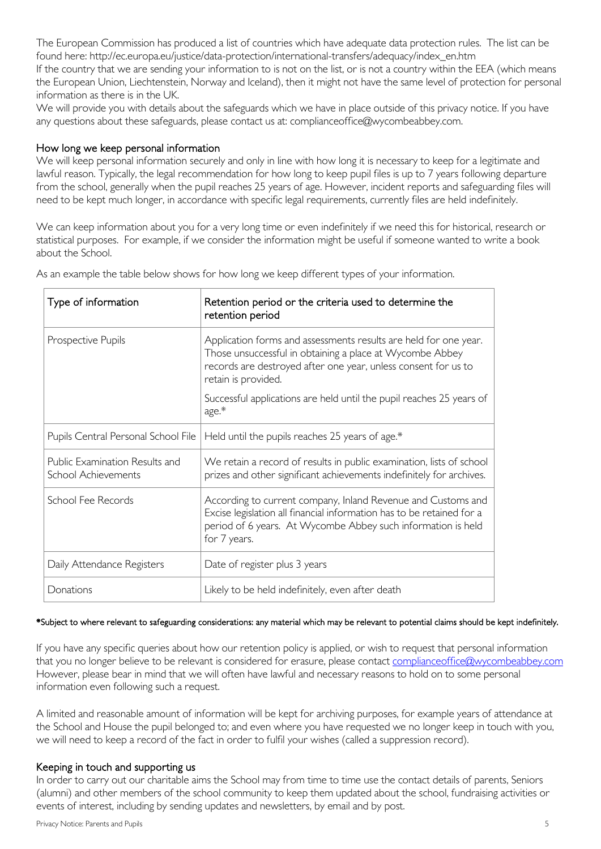The European Commission has produced a list of countries which have adequate data protection rules. The list can be found here: http://ec.europa.eu/justice/data-protection/international-transfers/adequacy/index\_en.htm

If the country that we are sending your information to is not on the list, or is not a country within the EEA (which means the European Union, Liechtenstein, Norway and Iceland), then it might not have the same level of protection for personal information as there is in the UK.

We will provide you with details about the safeguards which we have in place outside of this privacy notice. If you have any questions about these safeguards, please contact us at: complianceoffice@wycombeabbey.com.

# How long we keep personal information

We will keep personal information securely and only in line with how long it is necessary to keep for a legitimate and lawful reason. Typically, the legal recommendation for how long to keep pupil files is up to 7 years following departure from the school, generally when the pupil reaches 25 years of age. However, incident reports and safeguarding files will need to be kept much longer, in accordance with specific legal requirements, currently files are held indefinitely.

We can keep information about you for a very long time or even indefinitely if we need this for historical, research or statistical purposes. For example, if we consider the information might be useful if someone wanted to write a book about the School.

| Type of information                                          | Retention period or the criteria used to determine the<br>retention period                                                                                                                                            |
|--------------------------------------------------------------|-----------------------------------------------------------------------------------------------------------------------------------------------------------------------------------------------------------------------|
| Prospective Pupils                                           | Application forms and assessments results are held for one year.<br>Those unsuccessful in obtaining a place at Wycombe Abbey<br>records are destroyed after one year, unless consent for us to<br>retain is provided. |
|                                                              | Successful applications are held until the pupil reaches 25 years of<br>age.*                                                                                                                                         |
| Pupils Central Personal School File                          | Held until the pupils reaches 25 years of age.*                                                                                                                                                                       |
| Public Examination Results and<br><b>School Achievements</b> | We retain a record of results in public examination, lists of school<br>prizes and other significant achievements indefinitely for archives.                                                                          |
| School Fee Records                                           | According to current company, Inland Revenue and Customs and<br>Excise legislation all financial information has to be retained for a<br>period of 6 years. At Wycombe Abbey such information is held<br>for 7 years. |
| Daily Attendance Registers                                   | Date of register plus 3 years                                                                                                                                                                                         |
| Donations                                                    | Likely to be held indefinitely, even after death                                                                                                                                                                      |

As an example the table below shows for how long we keep different types of your information.

# \*Subject to where relevant to safeguarding considerations: any material which may be relevant to potential claims should be kept indefinitely.

If you have any specific queries about how our retention policy is applied, or wish to request that personal information that you no longer believe to be relevant is considered for erasure, please contact [complianceoffice@wycombeabbey.com](mailto:complianceoffice@wycombeabbey.com) However, please bear in mind that we will often have lawful and necessary reasons to hold on to some personal information even following such a request.

A limited and reasonable amount of information will be kept for archiving purposes, for example years of attendance at the School and House the pupil belonged to; and even where you have requested we no longer keep in touch with you, we will need to keep a record of the fact in order to fulfil your wishes (called a suppression record).

# Keeping in touch and supporting us

In order to carry out our charitable aims the School may from time to time use the contact details of parents, Seniors (alumni) and other members of the school community to keep them updated about the school, fundraising activities or events of interest, including by sending updates and newsletters, by email and by post.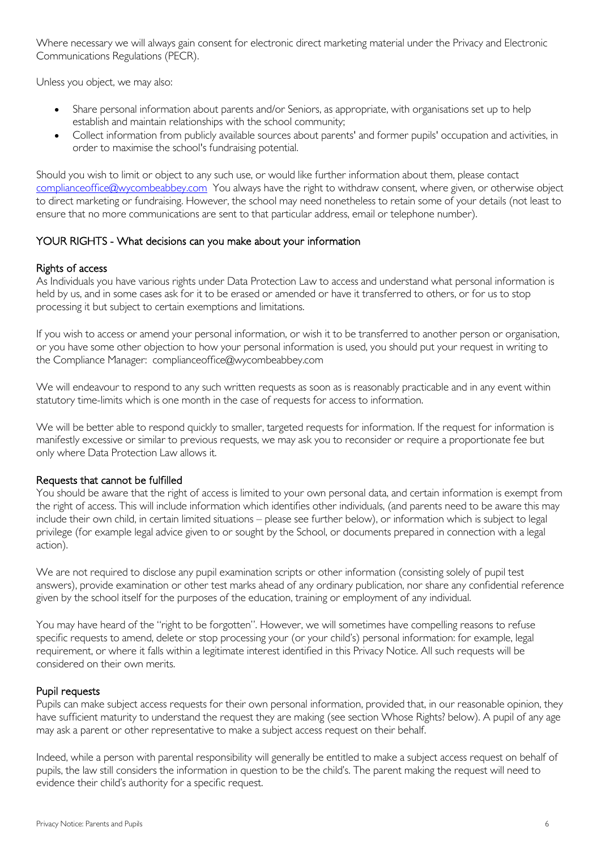Where necessary we will always gain consent for electronic direct marketing material under the Privacy and Electronic Communications Regulations (PECR).

Unless you object, we may also:

- Share personal information about parents and/or Seniors, as appropriate, with organisations set up to help establish and maintain relationships with the school community;
- Collect information from publicly available sources about parents' and former pupils' occupation and activities, in order to maximise the school's fundraising potential.

Should you wish to limit or object to any such use, or would like further information about them, please contact [complianceoffice@wycombeabbey.com](mailto:complianceoffice@wycombeabbey.com) You always have the right to withdraw consent, where given, or otherwise object to direct marketing or fundraising. However, the school may need nonetheless to retain some of your details (not least to ensure that no more communications are sent to that particular address, email or telephone number).

# YOUR RIGHTS - What decisions can you make about your information

# Rights of access

As Individuals you have various rights under Data Protection Law to access and understand what personal information is held by us, and in some cases ask for it to be erased or amended or have it transferred to others, or for us to stop processing it but subject to certain exemptions and limitations.

If you wish to access or amend your personal information, or wish it to be transferred to another person or organisation, or you have some other objection to how your personal information is used, you should put your request in writing to the Compliance Manager: complianceoffice@wycombeabbey.com

We will endeavour to respond to any such written requests as soon as is reasonably practicable and in any event within statutory time-limits which is one month in the case of requests for access to information.

We will be better able to respond quickly to smaller, targeted requests for information. If the request for information is manifestly excessive or similar to previous requests, we may ask you to reconsider or require a proportionate fee but only where Data Protection Law allows it.

# Requests that cannot be fulfilled

You should be aware that the right of access is limited to your own personal data, and certain information is exempt from the right of access. This will include information which identifies other individuals, (and parents need to be aware this may include their own child, in certain limited situations – please see further below), or information which is subject to legal privilege (for example legal advice given to or sought by the School, or documents prepared in connection with a legal action).

We are not required to disclose any pupil examination scripts or other information (consisting solely of pupil test answers), provide examination or other test marks ahead of any ordinary publication, nor share any confidential reference given by the school itself for the purposes of the education, training or employment of any individual.

You may have heard of the "right to be forgotten". However, we will sometimes have compelling reasons to refuse specific requests to amend, delete or stop processing your (or your child's) personal information: for example, legal requirement, or where it falls within a legitimate interest identified in this Privacy Notice. All such requests will be considered on their own merits.

# Pupil requests

Pupils can make subject access requests for their own personal information, provided that, in our reasonable opinion, they have sufficient maturity to understand the request they are making (see section Whose Rights? below). A pupil of any age may ask a parent or other representative to make a subject access request on their behalf.

Indeed, while a person with parental responsibility will generally be entitled to make a subject access request on behalf of pupils, the law still considers the information in question to be the child's. The parent making the request will need to evidence their child's authority for a specific request.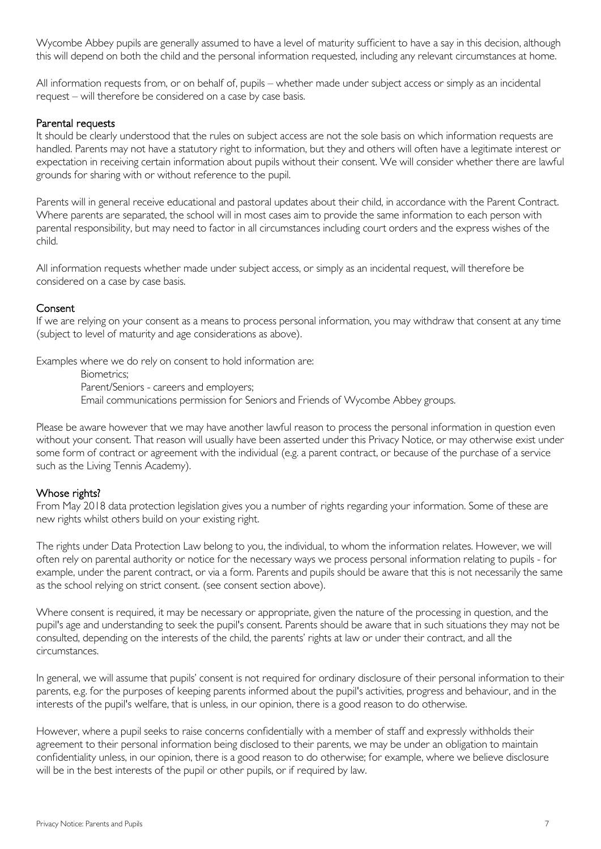Wycombe Abbey pupils are generally assumed to have a level of maturity sufficient to have a say in this decision, although this will depend on both the child and the personal information requested, including any relevant circumstances at home.

All information requests from, or on behalf of, pupils – whether made under subject access or simply as an incidental request – will therefore be considered on a case by case basis.

### Parental requests

It should be clearly understood that the rules on subject access are not the sole basis on which information requests are handled. Parents may not have a statutory right to information, but they and others will often have a legitimate interest or expectation in receiving certain information about pupils without their consent. We will consider whether there are lawful grounds for sharing with or without reference to the pupil.

Parents will in general receive educational and pastoral updates about their child, in accordance with the Parent Contract. Where parents are separated, the school will in most cases aim to provide the same information to each person with parental responsibility, but may need to factor in all circumstances including court orders and the express wishes of the child.

All information requests whether made under subject access, or simply as an incidental request, will therefore be considered on a case by case basis.

# Consent

If we are relying on your consent as a means to process personal information, you may withdraw that consent at any time (subject to level of maturity and age considerations as above).

Examples where we do rely on consent to hold information are:

Biometrics;

Parent/Seniors - careers and employers;

Email communications permission for Seniors and Friends of Wycombe Abbey groups.

Please be aware however that we may have another lawful reason to process the personal information in question even without your consent. That reason will usually have been asserted under this Privacy Notice, or may otherwise exist under some form of contract or agreement with the individual (e.g. a parent contract, or because of the purchase of a service such as the Living Tennis Academy).

#### Whose rights?

From May 2018 data protection legislation gives you a number of rights regarding your information. Some of these are new rights whilst others build on your existing right.

The rights under Data Protection Law belong to you, the individual, to whom the information relates. However, we will often rely on parental authority or notice for the necessary ways we process personal information relating to pupils - for example, under the parent contract, or via a form. Parents and pupils should be aware that this is not necessarily the same as the school relying on strict consent. (see consent section above).

Where consent is required, it may be necessary or appropriate, given the nature of the processing in question, and the pupil's age and understanding to seek the pupil's consent. Parents should be aware that in such situations they may not be consulted, depending on the interests of the child, the parents' rights at law or under their contract, and all the circumstances.

In general, we will assume that pupils' consent is not required for ordinary disclosure of their personal information to their parents, e.g. for the purposes of keeping parents informed about the pupil's activities, progress and behaviour, and in the interests of the pupil's welfare, that is unless, in our opinion, there is a good reason to do otherwise.

However, where a pupil seeks to raise concerns confidentially with a member of staff and expressly withholds their agreement to their personal information being disclosed to their parents, we may be under an obligation to maintain confidentiality unless, in our opinion, there is a good reason to do otherwise; for example, where we believe disclosure will be in the best interests of the pupil or other pupils, or if required by law.